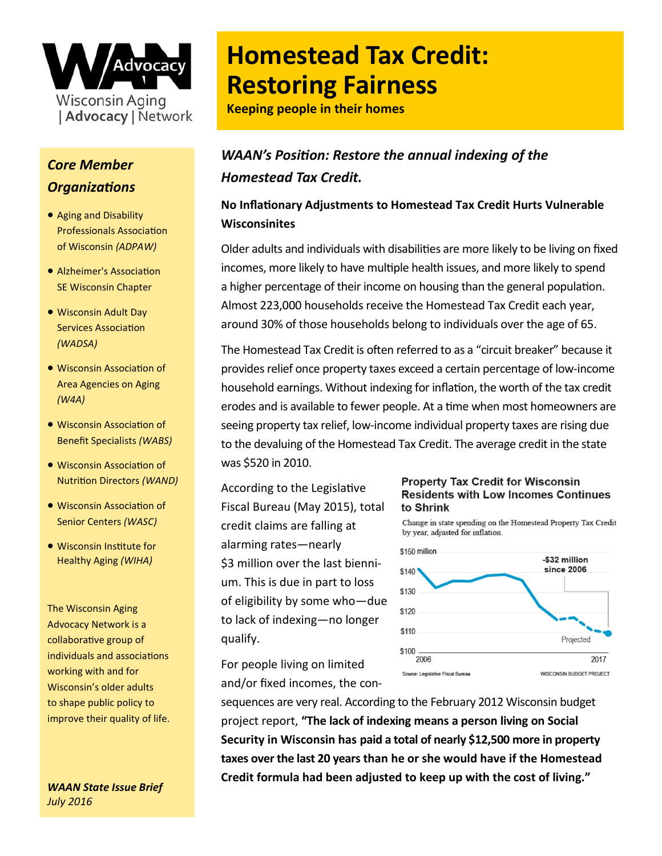

## *Core Member Organizations*

- Aging and Disability Professionals Association of Wisconsin *(ADPAW)*
- Alzheimer's Association SE Wisconsin Chapter
- Wisconsin Adult Day Services Association *(WADSA)*
- Wisconsin Association of Area Agencies on Aging *(W4A)*
- Wisconsin Association of Benefit Specialists *(WABS)*
- Wisconsin Association of Nutrition Directors *(WAND)*
- Wisconsin Association of Senior Centers *(WASC)*
- Wisconsin Institute for Healthy Aging *(WIHA)*

The Wisconsin Aging Advocacy Network is a collaborative group of individuals and associations working with and for Wisconsin's older adults to shape public policy to improve their quality of life.

*WAAN State Issue Brief July 2016* 

# **Homestead Tax Credit: Restoring Fairness**

**Keeping people in their homes**

## *WAAN's Position: Restore the annual indexing of the Homestead Tax Credit.*

### **No Inflationary Adjustments to Homestead Tax Credit Hurts Vulnerable Wisconsinites**

Older adults and individuals with disabilities are more likely to be living on fixed incomes, more likely to have multiple health issues, and more likely to spend a higher percentage of their income on housing than the general population. Almost 223,000 households receive the Homestead Tax Credit each year, around 30% of those households belong to individuals over the age of 65.

The Homestead Tax Credit is often referred to as a "circuit breaker" because it provides relief once property taxes exceed a certain percentage of low-income household earnings. Without indexing for inflation, the worth of the tax credit erodes and is available to fewer people. At a time when most homeowners are seeing property tax relief, low-income individual property taxes are rising due to the devaluing of the Homestead Tax Credit. The average credit in the state was \$520 in 2010.

According to the Legislative Fiscal Bureau (May 2015), total credit claims are falling at alarming rates—nearly \$3 million over the last biennium. This is due in part to loss of eligibility by some who—due to lack of indexing—no longer qualify.

For people living on limited and/or fixed incomes, the con-

#### **Property Tax Credit for Wisconsin Residents with Low Incomes Continues** to Shrink

Change in state spending on the Homestead Property Tax Credit by year, adjusted for inflation.



sequences are very real. According to the February 2012 Wisconsin budget project report, **"The lack of indexing means a person living on Social Security in Wisconsin has paid a total of nearly \$12,500 more in property taxes over the last 20 years than he or she would have if the Homestead Credit formula had been adjusted to keep up with the cost of living."**